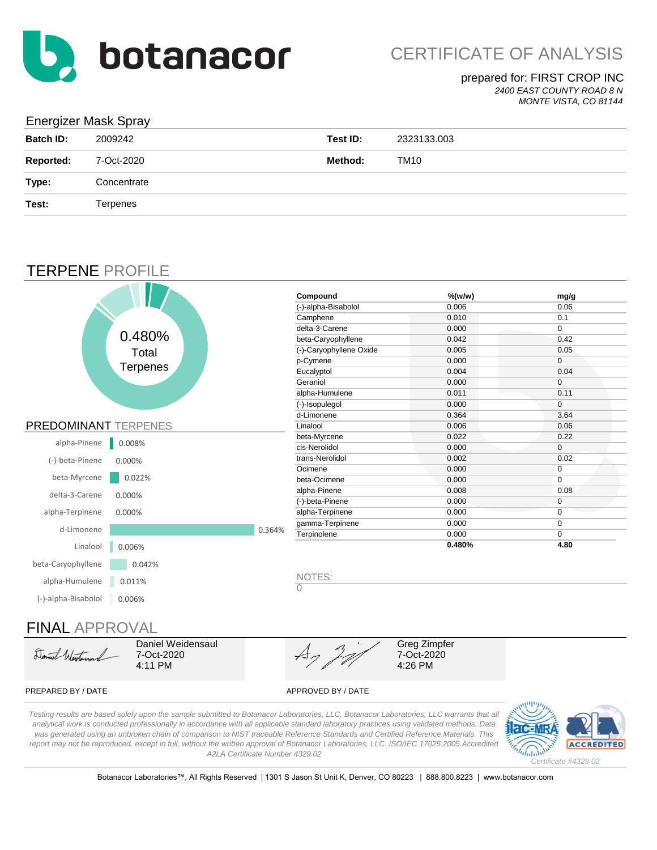

*2400 EAST COUNTY ROAD 8 N*

#### *MONTE VISTA, CO 81144*

#### Energizer Mask Spray

| <b>Batch ID:</b> | 2009242     | Test ID: | 2323133.003 |
|------------------|-------------|----------|-------------|
| <b>Reported:</b> | 7-Oct-2020  | Method:  | TM10        |
| Type:            | Concentrate |          |             |
| Test:            | Terpenes    |          |             |

### TERPENE PROFILE



Daniel Worth

Daniel Weidensaul 7-Oct-2020 4:11 PM

Greg Zimpfer 7-Oct-2020 4:26 PM

#### PREPARED BY / DATE APPROVED BY / DATE

*Testing results are based solely upon the sample submitted to Botanacor Laboratories, LLC. Botanacor Laboratories, LLC warrants that all analytical work is conducted professionally in accordance with all applicable standard laboratory practices using validated methods. Data was generated using an unbroken chain of comparison to NIST traceable Reference Standards and Certified Reference Materials. This report may not be reproduced, except in full, without the written approval of Botanacor Laboratories, LLC. ISO/IEC 17025:2005 Accredited A2LA Certificate Number 4329.02*

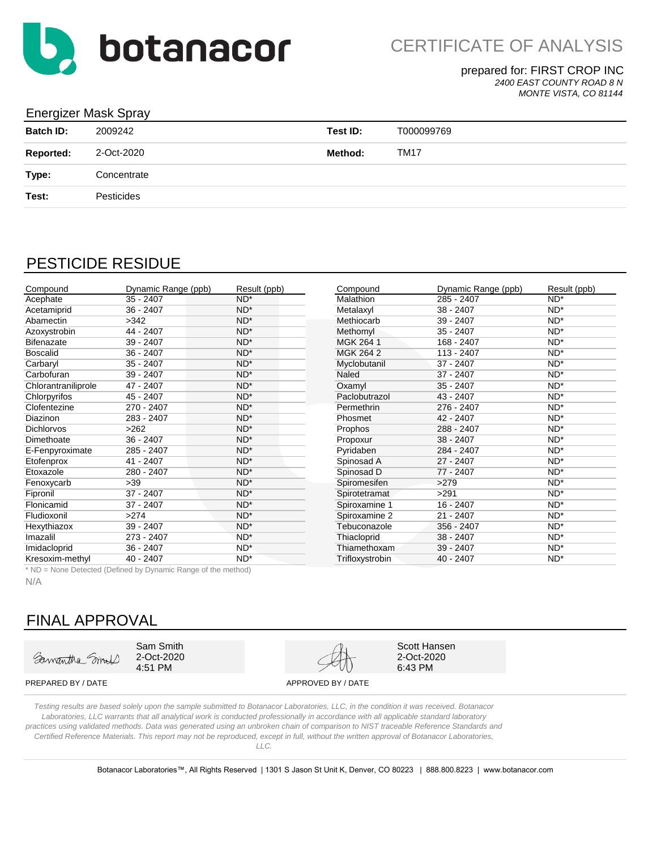

*2400 EAST COUNTY ROAD 8 N*

*MONTE VISTA, CO 81144*

#### Energizer Mask Spray

| <b>Batch ID:</b> | 2009242     | Test ID: | T000099769  |
|------------------|-------------|----------|-------------|
| <b>Reported:</b> | 2-Oct-2020  | Method:  | <b>TM17</b> |
| Type:            | Concentrate |          |             |
| Test:            | Pesticides  |          |             |
|                  |             |          |             |

# PESTICIDE RESIDUE

| Compound            | Dynamic Range (ppb) | Result (ppb)    | Compound         | Dynamic Range (ppb) | Result (ppb)    |
|---------------------|---------------------|-----------------|------------------|---------------------|-----------------|
| Acephate            | $35 - 2407$         | $ND^*$          | <b>Malathion</b> | 285 - 2407          | $ND^*$          |
| Acetamiprid         | 36 - 2407           | $ND^*$          | Metalaxyl        | $38 - 2407$         | ND*             |
| Abamectin           | >342                | $ND^*$          | Methiocarb       | $39 - 2407$         | $ND^*$          |
| Azoxystrobin        | 44 - 2407           | $ND^*$          | Methomyl         | $35 - 2407$         | ND*             |
| <b>Bifenazate</b>   | 39 - 2407           | $ND^*$          | MGK 264 1        | 168 - 2407          | $ND^*$          |
| <b>Boscalid</b>     | $36 - 2407$         | $ND^*$          | MGK 264 2        | 113 - 2407          | $ND^*$          |
| Carbaryl            | $35 - 2407$         | $ND^*$          | Myclobutanil     | 37 - 2407           | $ND^*$          |
| Carbofuran          | 39 - 2407           | $ND^*$          | Naled            | 37 - 2407           | $ND^*$          |
| Chlorantraniliprole | 47 - 2407           | $ND^*$          | Oxamyl           | $35 - 2407$         | $ND^*$          |
| Chlorpyrifos        | 45 - 2407           | $ND^*$          | Paclobutrazol    | 43 - 2407           | $ND^*$          |
| Clofentezine        | 270 - 2407          | ND <sup>*</sup> | Permethrin       | 276 - 2407          | ND*             |
| <b>Diazinon</b>     | 283 - 2407          | $ND^*$          | Phosmet          | 42 - 2407           | $ND^*$          |
| <b>Dichlorvos</b>   | >262                | $ND^*$          | Prophos          | 288 - 2407          | ND*             |
| Dimethoate          | $36 - 2407$         | $ND^*$          | Propoxur         | 38 - 2407           | $ND^*$          |
| E-Fenpyroximate     | 285 - 2407          | $ND^*$          | Pyridaben        | 284 - 2407          | $ND^*$          |
| Etofenprox          | 41 - 2407           | $ND^*$          | Spinosad A       | $27 - 2407$         | $ND^*$          |
| Etoxazole           | 280 - 2407          | ND <sup>*</sup> | Spinosad D       | 77 - 2407           | ND*             |
| Fenoxycarb          | $>39$               | $ND^*$          | Spiromesifen     | >279                | $ND^*$          |
| Fipronil            | 37 - 2407           | $ND^*$          | Spirotetramat    | >291                | $ND^*$          |
| Flonicamid          | 37 - 2407           | $ND^*$          | Spiroxamine 1    | 16 - 2407           | $ND^*$          |
| Fludioxonil         | >274                | $ND^*$          | Spiroxamine 2    | $21 - 2407$         | $ND^*$          |
| Hexythiazox         | 39 - 2407           | $ND^*$          | Tebuconazole     | 356 - 2407          | $ND^*$          |
| Imazalil            | 273 - 2407          | $ND^*$          | Thiacloprid      | 38 - 2407           | ND*             |
| Imidacloprid        | $36 - 2407$         | $ND^*$          | Thiamethoxam     | 39 - 2407           | $ND^*$          |
| Kresoxim-methyl     | 40 - 2407           | ND <sup>*</sup> | Trifloxystrobin  | $40 - 2407$         | ND <sup>*</sup> |

| Compound        | Dynamic Range (ppb) | Result (ppb)    |
|-----------------|---------------------|-----------------|
| Malathion       | 285 - 2407          | $ND^*$          |
| Metalaxyl       | 38 - 2407           | ND <sup>*</sup> |
| Methiocarb      | 39 - 2407           | ND <sup>*</sup> |
| Methomyl        | 35 - 2407           | ND <sup>*</sup> |
| MGK 264 1       | 168 - 2407          | ND <sup>*</sup> |
| MGK 264 2       | 113 - 2407          | ND <sup>*</sup> |
| Myclobutanil    | 37 - 2407           | ND <sup>*</sup> |
| Naled           | 37 - 2407           | $ND^*$          |
| Oxamyl          | $35 - 2407$         | ND <sup>*</sup> |
| Paclobutrazol   | 43 - 2407           | ND*             |
| Permethrin      | 276 - 2407          | ND <sup>*</sup> |
| Phosmet         | 42 - 2407           | ND <sup>*</sup> |
| Prophos         | 288 - 2407          | ND <sup>*</sup> |
| Propoxur        | 38 - 2407           | $ND^*$          |
| Pyridaben       | 284 - 2407          | $ND^*$          |
| Spinosad A      | 27 - 2407           | $ND^*$          |
| Spinosad D      | 77 - 2407           | ND <sup>*</sup> |
| Spiromesifen    | >279                | $ND^*$          |
| Spirotetramat   | >291                | ND <sup>*</sup> |
| Spiroxamine 1   | 16 - 2407           | ND*             |
| Spiroxamine 2   | 21 - 2407           | ND*             |
| Tebuconazole    | 356 - 2407          | ND*             |
| Thiacloprid     | 38 - 2407           | ND*             |
| Thiamethoxam    | 39 - 2407           | ND*             |
| Trifloxystrobin | 40 - 2407           | ND*             |

\* ND = None Detected (Defined by Dynamic Range of the method)

N/A

# FINAL APPROVAL

Samantha Smull

Sam Smith 2-Oct-2020 4:51 PM



Scott Hansen 2-Oct-2020 6:43 PM

PREPARED BY / DATE APPROVED BY / DATE

*Testing results are based solely upon the sample submitted to Botanacor Laboratories, LLC, in the condition it was received. Botanacor Laboratories, LLC warrants that all analytical work is conducted professionally in accordance with all applicable standard laboratory practices using validated methods. Data was generated using an unbroken chain of comparison to NIST traceable Reference Standards and Certified Reference Materials. This report may not be reproduced, except in full, without the written approval of Botanacor Laboratories,* 

*LLC.*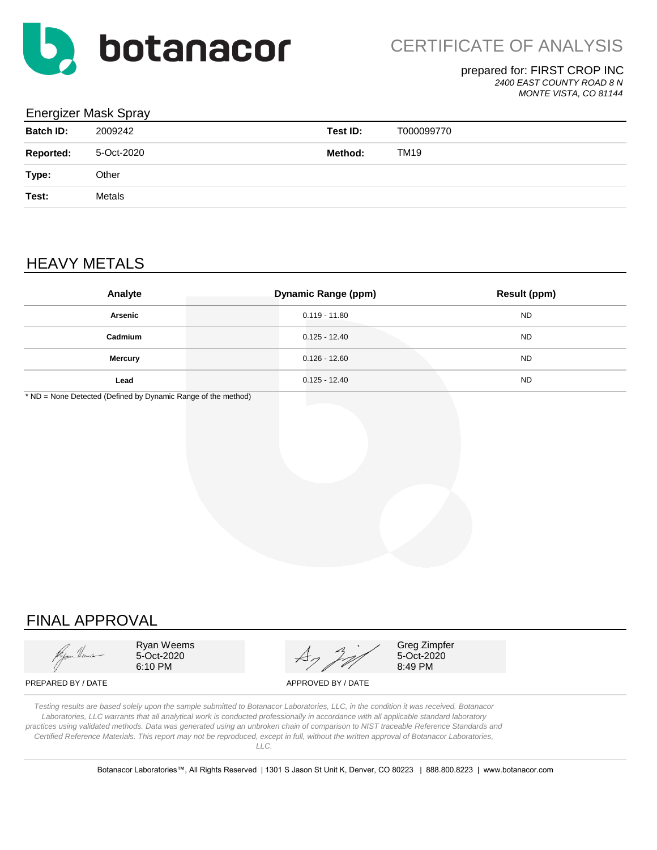

*2400 EAST COUNTY ROAD 8 N*

*MONTE VISTA, CO 81144*

#### Energizer Mask Spray

| <b>Batch ID:</b> | 2009242    | Test ID: | T000099770  |
|------------------|------------|----------|-------------|
| <b>Reported:</b> | 5-Oct-2020 | Method:  | <b>TM19</b> |
| Type:            | Other      |          |             |
| Test:            | Metals     |          |             |
|                  |            |          |             |

# HEAVY METALS

| Analyte        | <b>Dynamic Range (ppm)</b> | <b>Result (ppm)</b> |
|----------------|----------------------------|---------------------|
| Arsenic        | $0.119 - 11.80$            | <b>ND</b>           |
| Cadmium        | $0.125 - 12.40$            | <b>ND</b>           |
| <b>Mercury</b> | $0.126 - 12.60$            | <b>ND</b>           |
| Lead           | $0.125 - 12.40$            | <b>ND</b>           |

\* ND = None Detected (Defined by Dynamic Range of the method)

# FINAL APPROVAL



Ryan Weems 5-Oct-2020 6:10 PM



Greg Zimpfer 5-Oct-2020 8:49 PM

PREPARED BY / DATE APPROVED BY / DATE

*Testing results are based solely upon the sample submitted to Botanacor Laboratories, LLC, in the condition it was received. Botanacor Laboratories, LLC warrants that all analytical work is conducted professionally in accordance with all applicable standard laboratory practices using validated methods. Data was generated using an unbroken chain of comparison to NIST traceable Reference Standards and Certified Reference Materials. This report may not be reproduced, except in full, without the written approval of Botanacor Laboratories, LLC.*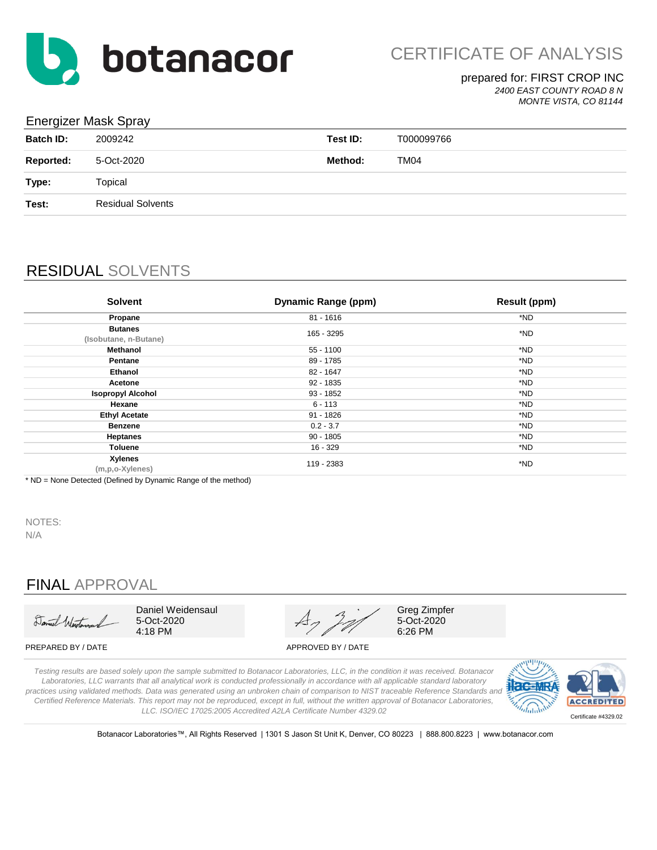

*2400 EAST COUNTY ROAD 8 N MONTE VISTA, CO 81144*

### Energizer Mask Spray

| - U              |                          |          |            |
|------------------|--------------------------|----------|------------|
| <b>Batch ID:</b> | 2009242                  | Test ID: | T000099766 |
| <b>Reported:</b> | 5-Oct-2020               | Method:  | TM04       |
| Type:            | Topical                  |          |            |
| Test:            | <b>Residual Solvents</b> |          |            |
|                  |                          |          |            |

# RESIDUAL SOLVENTS

| <b>Solvent</b>                          | <b>Dynamic Range (ppm)</b> | <b>Result (ppm)</b> |
|-----------------------------------------|----------------------------|---------------------|
| Propane                                 | $81 - 1616$                | *ND                 |
| <b>Butanes</b><br>(Isobutane, n-Butane) | 165 - 3295                 | *ND                 |
| Methanol                                | 55 - 1100                  | *ND                 |
| Pentane                                 | 89 - 1785                  | *ND                 |
| Ethanol                                 | 82 - 1647                  | *ND                 |
| Acetone                                 | 92 - 1835                  | *ND                 |
| <b>Isopropyl Alcohol</b>                | 93 - 1852                  | *ND                 |
| Hexane                                  | $6 - 113$                  | *ND                 |
| <b>Ethyl Acetate</b>                    | $91 - 1826$                | *ND                 |
| <b>Benzene</b>                          | $0.2 - 3.7$                | *ND                 |
| <b>Heptanes</b>                         | $90 - 1805$                | *ND                 |
| Toluene                                 | $16 - 329$                 | *ND                 |
| Xylenes<br>(m,p,o-Xylenes)              | 119 - 2383                 | *ND                 |

\* ND = None Detected (Defined by Dynamic Range of the method)

NOTES:

N/A

# FINAL APPROVAL

Daniel Westerson

Daniel Weidensaul 5-Oct-2020 4:18 PM

Greg Zimpfer 5-Oct-2020 6:26 PM

PREPARED BY / DATE APPROVED BY / DATE

*Testing results are based solely upon the sample submitted to Botanacor Laboratories, LLC, in the condition it was received. Botanacor Laboratories, LLC warrants that all analytical work is conducted professionally in accordance with all applicable standard laboratory practices using validated methods. Data was generated using an unbroken chain of comparison to NIST traceable Reference Standards and Certified Reference Materials. This report may not be reproduced, except in full, without the written approval of Botanacor Laboratories, LLC. ISO/IEC 17025:2005 Accredited A2LA Certificate Number 4329.02*